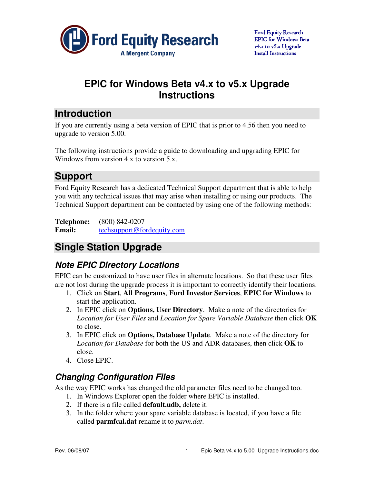

# **EPIC for Windows Beta v4.x to v5.x Upgrade Instructions**

# **Introduction**

If you are currently using a beta version of EPIC that is prior to 4.56 then you need to upgrade to version 5.00.

The following instructions provide a guide to downloading and upgrading EPIC for Windows from version 4.x to version 5.x.

# **Support**

Ford Equity Research has a dedicated Technical Support department that is able to help you with any technical issues that may arise when installing or using our products. The Technical Support department can be contacted by using one of the following methods:

**Telephone:** (800) 842-0207 **Email:** techsupport@fordequity.com

# **Single Station Upgrade**

## **Note EPIC Directory Locations**

EPIC can be customized to have user files in alternate locations. So that these user files are not lost during the upgrade process it is important to correctly identify their locations.

- 1. Click on **Start**, **All Programs**, **Ford Investor Services**, **EPIC for Windows** to start the application.
- 2. In EPIC click on **Options, User Directory**. Make a note of the directories for *Location for User Files* and *Location for Spare Variable Database* then click **OK** to close.
- 3. In EPIC click on **Options, Database Update**. Make a note of the directory for *Location for Database* for both the US and ADR databases, then click **OK** to close.
- 4. Close EPIC.

## **Changing Configuration Files**

As the way EPIC works has changed the old parameter files need to be changed too.

- 1. In Windows Explorer open the folder where EPIC is installed.
- 2. If there is a file called **default.udb,** delete it.
- 3. In the folder where your spare variable database is located, if you have a file called **parmfcal.dat** rename it to *parm.dat*.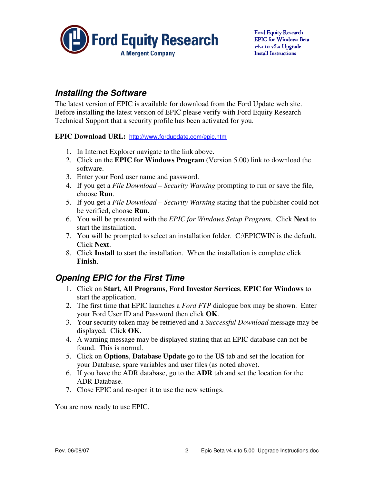

### **Installing the Software**

The latest version of EPIC is available for download from the Ford Update web site. Before installing the latest version of EPIC please verify with Ford Equity Research Technical Support that a security profile has been activated for you.

#### **EPIC Download URL:** http://www.fordupdate.com/epic.htm

- 1. In Internet Explorer navigate to the link above.
- 2. Click on the **EPIC for Windows Program** (Version 5.00) link to download the software.
- 3. Enter your Ford user name and password.
- 4. If you get a *File Download Security Warning* prompting to run or save the file, choose **Run**.
- 5. If you get a *File Download Security Warning* stating that the publisher could not be verified, choose **Run**.
- 6. You will be presented with the *EPIC for Windows Setup Program*. Click **Next** to start the installation.
- 7. You will be prompted to select an installation folder. C:\EPICWIN is the default. Click **Next**.
- 8. Click **Install** to start the installation. When the installation is complete click **Finish**.

### **Opening EPIC for the First Time**

- 1. Click on **Start**, **All Programs**, **Ford Investor Services**, **EPIC for Windows** to start the application.
- 2. The first time that EPIC launches a *Ford FTP* dialogue box may be shown. Enter your Ford User ID and Password then click **OK**.
- 3. Your security token may be retrieved and a *Successful Download* message may be displayed. Click **OK**.
- 4. A warning message may be displayed stating that an EPIC database can not be found. This is normal.
- 5. Click on **Options**, **Database Update** go to the **US** tab and set the location for your Database, spare variables and user files (as noted above).
- 6. If you have the ADR database, go to the **ADR** tab and set the location for the ADR Database.
- 7. Close EPIC and re-open it to use the new settings.

You are now ready to use EPIC.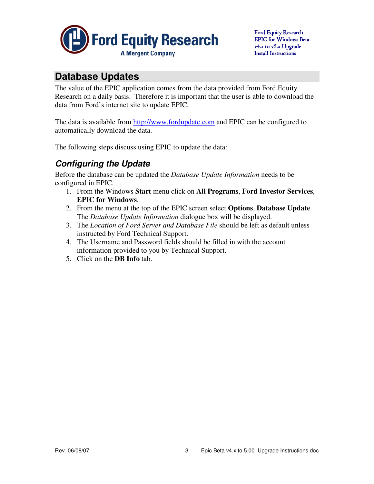

# **Database Updates**

The value of the EPIC application comes from the data provided from Ford Equity Research on a daily basis. Therefore it is important that the user is able to download the data from Ford's internet site to update EPIC.

The data is available from http://www.fordupdate.com and EPIC can be configured to automatically download the data.

The following steps discuss using EPIC to update the data:

## **Configuring the Update**

Before the database can be updated the *Database Update Information* needs to be configured in EPIC.

- 1. From the Windows **Start** menu click on **All Programs**, **Ford Investor Services**, **EPIC for Windows**.
- 2. From the menu at the top of the EPIC screen select **Options**, **Database Update**. The *Database Update Information* dialogue box will be displayed.
- 3. The *Location of Ford Server and Database File* should be left as default unless instructed by Ford Technical Support.
- 4. The Username and Password fields should be filled in with the account information provided to you by Technical Support.
- 5. Click on the **DB Info** tab.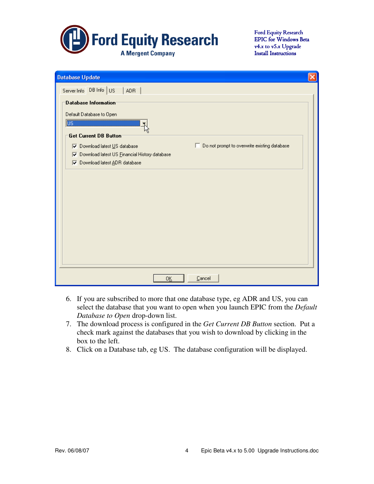

| <b>Database Update</b>                                                               |  |
|--------------------------------------------------------------------------------------|--|
| Server Info DB Info US<br>ADR.                                                       |  |
| Database Information                                                                 |  |
| Default Database to Open                                                             |  |
| $\overline{\mathbb{U}^{\mathsf{S}}}$                                                 |  |
| Get Current DB Button                                                                |  |
| Do not prompt to overwrite existing database<br><b>V</b> Download latest US database |  |
| Download latest US Financial History database<br>⊽                                   |  |
| Download latest ADR database<br>⊽                                                    |  |
|                                                                                      |  |
|                                                                                      |  |
|                                                                                      |  |
|                                                                                      |  |
|                                                                                      |  |
|                                                                                      |  |
|                                                                                      |  |
|                                                                                      |  |
|                                                                                      |  |
|                                                                                      |  |
|                                                                                      |  |
| $\ensuremath{\underline{\mathbb{C}}}$ ancel<br>0Ķ                                    |  |

- 6. If you are subscribed to more that one database type, eg ADR and US, you can select the database that you want to open when you launch EPIC from the *Default Database to Open* drop-down list.
- 7. The download process is configured in the *Get Current DB Button* section. Put a check mark against the databases that you wish to download by clicking in the box to the left.
- 8. Click on a Database tab, eg US. The database configuration will be displayed.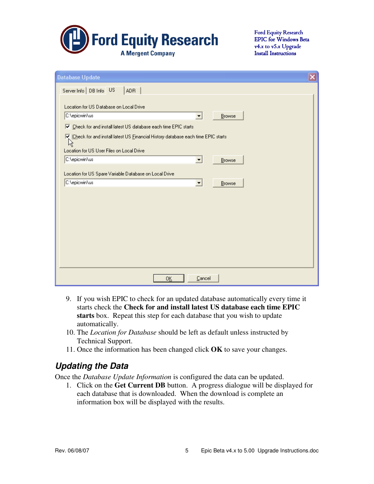

| $\overline{\mathsf{x}}$<br><b>Database Update</b>                                                                                                                                                                                   |  |  |  |
|-------------------------------------------------------------------------------------------------------------------------------------------------------------------------------------------------------------------------------------|--|--|--|
| Server Info   DB Info US<br><b>ADR</b>                                                                                                                                                                                              |  |  |  |
| Location for US Database on Local Drive<br>C:\epicwin\us<br>Browse<br>Ⅳ Check for and install latest US database each time EPIC starts<br>E incheck for and install latest US Einancial History database each time EPIC starts<br>仪 |  |  |  |
| Location for US User Files on Local Drive<br>C:\epicwin\us<br>Browse<br>$\blacktriangledown$                                                                                                                                        |  |  |  |
| Location for US Spare Variable Database on Local Drive<br>C:\epicwin\us<br>$\vert \cdot \vert$<br>Browse                                                                                                                            |  |  |  |
| Cancel<br>0K                                                                                                                                                                                                                        |  |  |  |

- 9. If you wish EPIC to check for an updated database automatically every time it starts check the **Check for and install latest US database each time EPIC starts** box. Repeat this step for each database that you wish to update automatically.
- 10. The *Location for Database* should be left as default unless instructed by Technical Support.
- 11. Once the information has been changed click **OK** to save your changes.

## **Updating the Data**

Once the *Database Update Information* is configured the data can be updated.

1. Click on the **Get Current DB** button. A progress dialogue will be displayed for each database that is downloaded. When the download is complete an information box will be displayed with the results.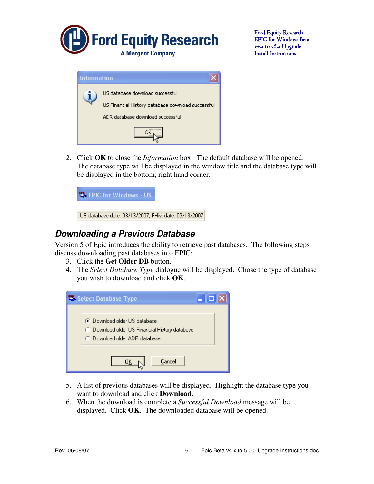

| <b>Information</b>              |                                                   |  |  |
|---------------------------------|---------------------------------------------------|--|--|
| US database download successful |                                                   |  |  |
|                                 | US Financial History database download successful |  |  |
|                                 | ADR database download successful                  |  |  |
|                                 |                                                   |  |  |

2. Click **OK** to close the *Information* box. The default database will be opened. The database type will be displayed in the window title and the database type will be displayed in the bottom, right hand corner.



### **Downloading a Previous Database**

Version 5 of Epic introduces the ability to retrieve past databases. The following steps discuss downloading past databases into EPIC:

- 3. Click the **Get Older DB** button.
- 4. The *Select Database Type* dialogue will be displayed. Chose the type of database you wish to download and click **OK**.



- 5. A list of previous databases will be displayed. Highlight the database type you want to download and click **Download**.
- 6. When the download is complete a *Successful Download* message will be displayed. Click **OK**. The downloaded database will be opened.